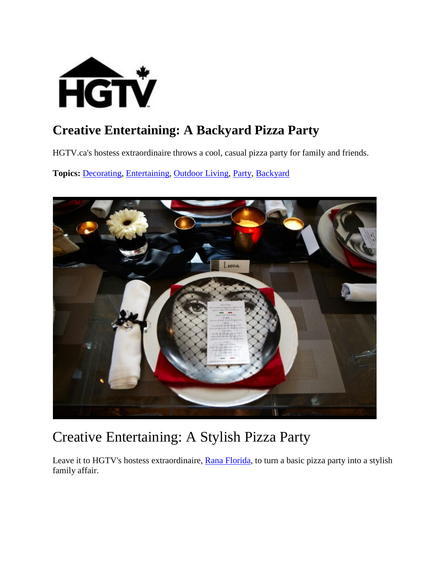

#### **Creative Entertaining: A Backyard Pizza Party**

HGTV.ca's hostess extraordinaire throws a cool, casual pizza party for family and friends.

**Topics:** [Decorating,](http://www.hgtv.ca/search/?nav=Ntk:all%7CDecorating%7C3%7C) [Entertaining,](http://www.hgtv.ca/search/?nav=Ntk:all%7CEntertaining%7C3%7C) [Outdoor Living,](http://www.hgtv.ca/search/?nav=Ntk:all%7COutdoor+Living%7C3%7C) [Party,](http://www.hgtv.ca/search/?nav=Ntk:all%7CParty%7C3%7C) [Backyard](http://www.hgtv.ca/search/?nav=Ntk:all%7CBackyard%7C3%7C)



#### Creative Entertaining: A Stylish Pizza Party

Leave it to HGTV's hostess extraordinaire, [Rana Florida,](http://www.creativeclass.com/rana_florida) to turn a basic pizza party into a stylish family affair.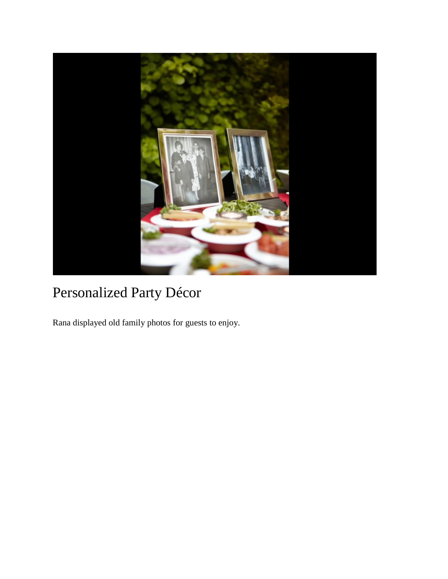

## Personalized Party Décor

Rana displayed old family photos for guests to enjoy.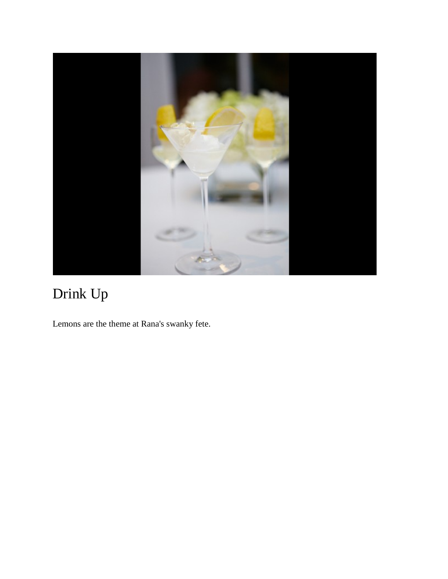

# Drink Up

Lemons are the theme at Rana's swanky fete.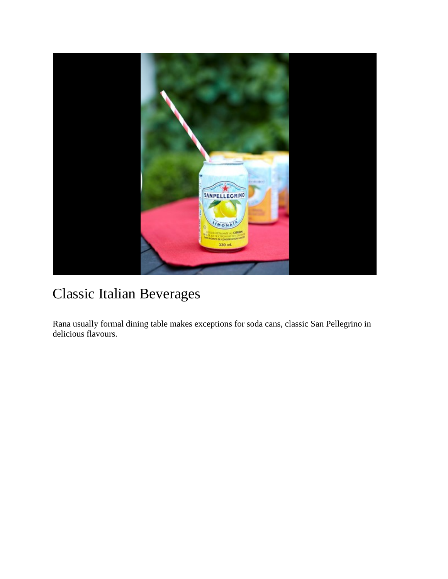

#### Classic Italian Beverages

Rana usually formal dining table makes exceptions for soda cans, classic San Pellegrino in delicious flavours.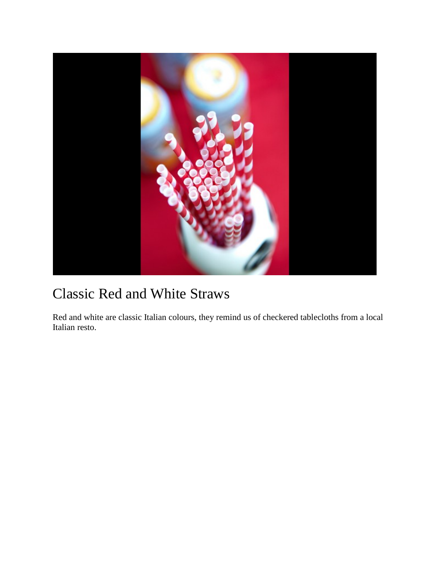

#### Classic Red and White Straws

Red and white are classic Italian colours, they remind us of checkered tablecloths from a local Italian resto.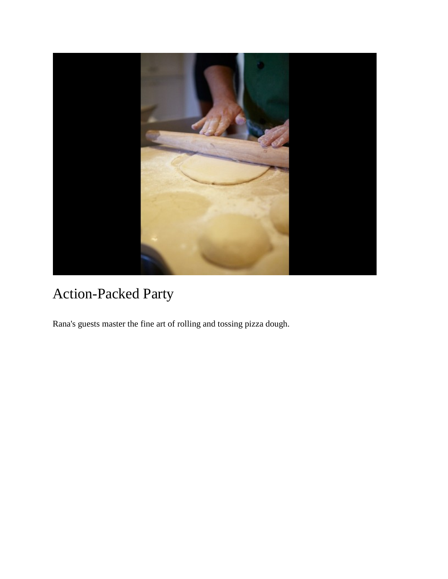

## Action-Packed Party

Rana's guests master the fine art of rolling and tossing pizza dough.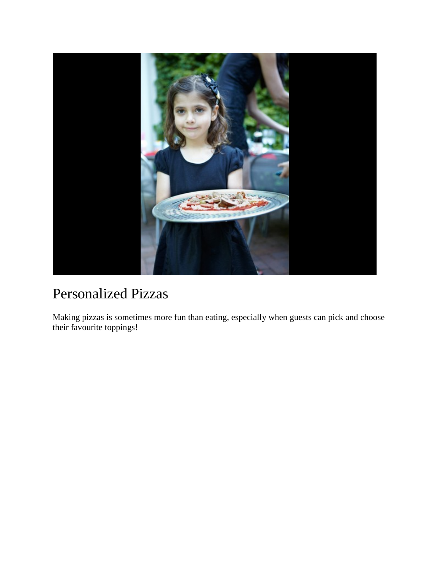

#### Personalized Pizzas

Making pizzas is sometimes more fun than eating, especially when guests can pick and choose their favourite toppings!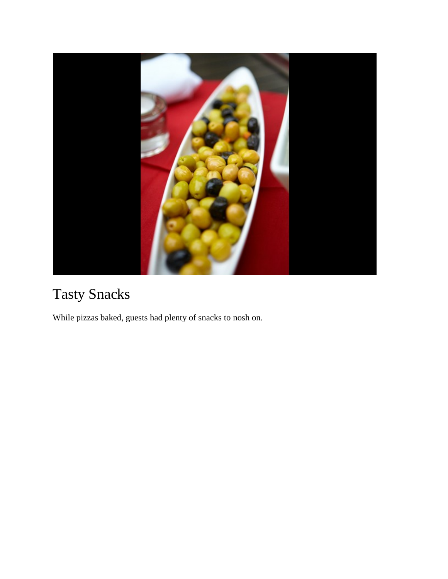

## Tasty Snacks

While pizzas baked, guests had plenty of snacks to nosh on.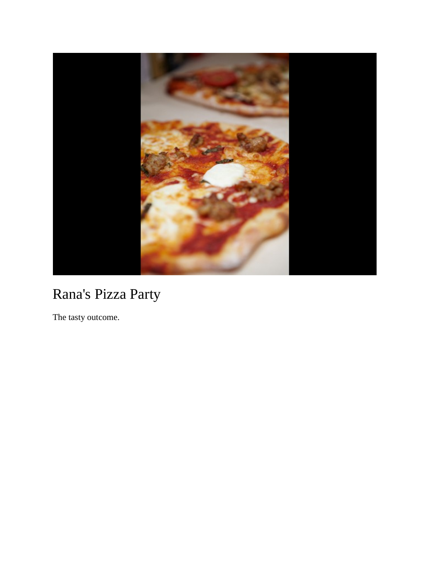

## Rana's Pizza Party

The tasty outcome.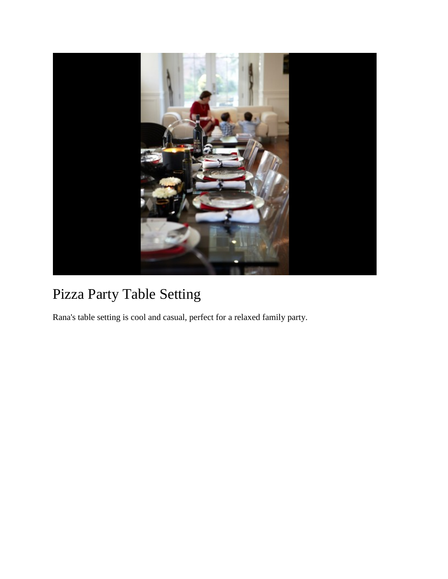

## Pizza Party Table Setting

Rana's table setting is cool and casual, perfect for a relaxed family party.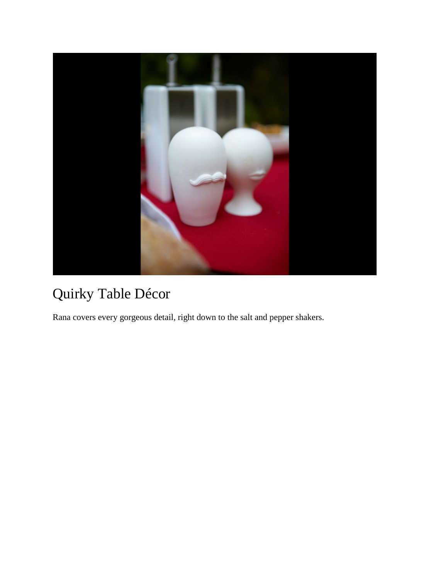

## Quirky Table Décor

Rana covers every gorgeous detail, right down to the salt and pepper shakers.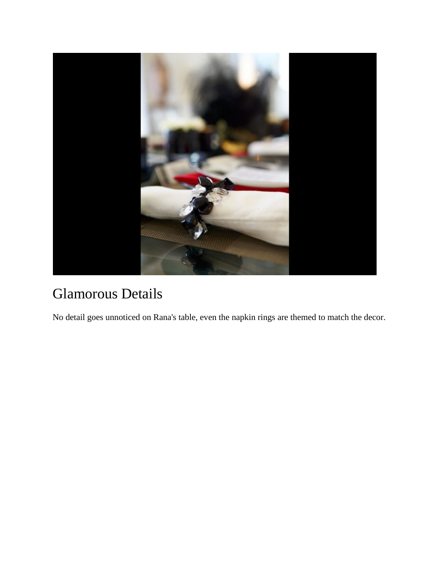

## Glamorous Details

No detail goes unnoticed on Rana's table, even the napkin rings are themed to match the decor.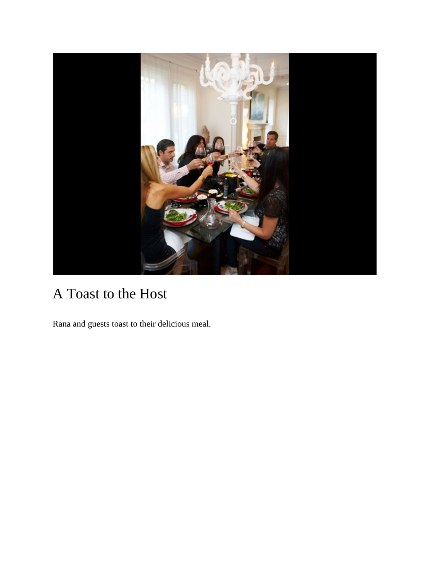

## A Toast to the Host

Rana and guests toast to their delicious meal.